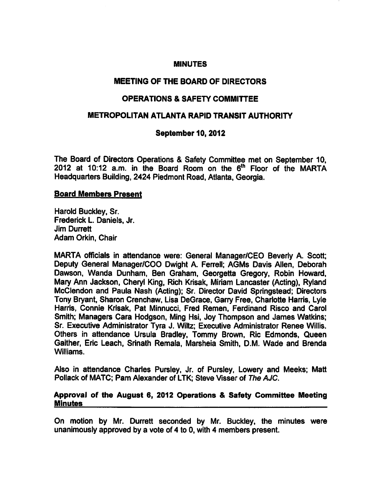#### **MINUTES**

## MEETING OF THE BOARD OF DIRECTORS

# OPERATIONS SAFETY COMMITTEE

## METROPOLITAN ATLANTA RAPID TRANSIT AUTHORITY

# September 10, 2012

The Board of Directors Operations & Safety Committee met on September 10, 2012 at 10:12 a.m. in the Board Room on the 6<sup>th</sup> Floor of the MARTA Headquarters Building, 2424 Piedmont Road, Atlanta, Georgia.

### Board Members Present

Harold Buckley, Sr. Frederick L. Daniels, Jr. Jim Durrett Adam Orkin, Chair

MARTA officials in attendance were: General Manager/CEO Beverly A. Scott; Deputy General Manager/COO Dwight A. Ferrell; AGMs Davis Allen, Deborah Dawson, Wanda Dunham, Ben Graham, Georgetta Gregory, Robin Howard, Mary Ann Jackson, Cheryl King, Rich Krisak, Miriam Lancaster (Acting). Ryland McClendon and Paula Nash (Acting); Sr. Director David Springstead; Directors Tony Bryant, Sharon Crenchaw, Lisa DeGrace, Garry Free, Charlotte Harris, Lyle Harris, Connie Krisak, Pat Minnucci, Fred Remen, Ferdinand Risco and Carol Smith; Managers Cara Hodgson, Ming Hsi, Joy Thompson and James Watkins; Sr. Executive Administrator Tyra J. Wiltz; Executive Administrator Renee Willis. Others in attendance Ursula Bradley, Tommy Brown, Ric Edmonds, Queen Gaither, Eric Leach, Srinath Remala, Marsheia Smith, D.M. Wade and Brenda Williams.

Also in attendance Charles Pursley, Jr. of Pursley, Lowery and Meeks; Matt Pollack of MATC; Pam Alexander of LTK; Steve Visser of The AJC.

#### Approval of the August 6, 2012 Operations & Safety Committee Meeting Minutes

On motion by Mr. Durrett seconded by Mr. Buckley, the minutes were unanimously approved by a vote of 4 to 0, with 4 members present.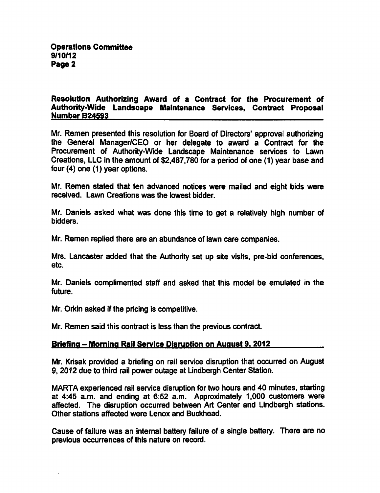### Resolution Authorizing Award of a Contract for the Procurement of Authority-Wide Landscape Maintenance Services, Contract Proposal Number B24593

Mr. Remen presented this resolution for Board of Directors' approval authorizing the General Manager/CEO or her delegate to award a Contract for the Procurement of Authority-Wide Landscape Maintenance services to Lawn Creations, LLC in the amount of \$2,487,780 for a period of one (1) year base and four (4) one (1) year options.

Mr. Remen stated that ten advanced notices were mailed and eight bids were received. Lawn Creations was the lowest bidder.

Mr. Daniels asked what was done this time to get a relatively high number of bidders.

Mr. Remen replied there are an abundance of lawn care companies.

Mrs. Lancaster added that the Authority set up site visits, pre-bid conferences, etc.

Mr. Daniels complimented staff and asked that this model be emulated in the future.

Mr. Orkin asked if the pricing is competitive.

Mr. Remen said this contract is less than the previous contract.

# Briefing – Morning Rail Service Disruption on August 9, 2012

Mr. Krisak provided a briefing on rail service disruption that occurred on August 9,2012 due to third rail power outage at Lindbergh Center Station.

MARTA experienced rail service disruption for two hours and 40 minutes, starting at 4:45 a.m. and ending at 6:52 a.m. Approximately 1,000 customers were affected. The disruption occurred between Art Center and Lindbergh stations. Other stations affected were Lenox and Buckhead.

Cause of failure was an internal battery failure of a single battery. There are no previous occurrences of this nature on record.